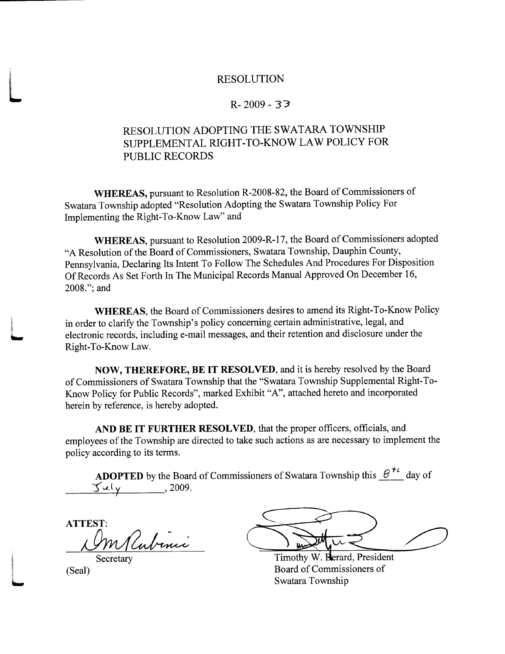## RESOLUTION

## $R - 2009 - 33$

## RESOLUTION ADOPTING THE SWATARA TOWNSHIP SUPPLEMENTAL RlGHT TO KNOWLAW POLICY FOR PUBLIC RECORDS

WHEREAS, pursuant to Resolution R-2008-82, the Board of Commissioners of Swatara Township adopted "Resolution Adopting the Swatara Township Policy For Implementing the Right-To-Know Law" and

WHEREAS, pursuant to Resolution 2009-R-17, the Board of Commissioners adopted "A Resolution of the Board of Commissioners, Swatara Township, Dauphin County, Pennsylvania, Declaring Its Intent To Follow The Schedules And Procedures For Disposition Of Records As Set Forth In The Municipal Records Manual Approved On December 16, 2008."; and

WHEREAS, the Board of Commissioners desires to amend its Right-To-Know Policy in order to clarify the Township's policy concerning certain administrative, legal, and electronic records, including e-mail messages, and their retention and disclosure under the Right-To-Know Law.

NOW, THEREFORE, BE IT RESOLVED, and it is hereby resolved by the Board of Commissioners of Swatara Township that the "Swatara Township Supplemental Right-To-Know Policy for Public Records", marked Exhibit "A", attached hereto and incorporated herein by reference, is hereby adopted.

AND BE IT FURTHER RESOLVED, that the proper officers, officials, and employees of the Township are directed to take such actions as are necessary to implement the policy according to its terms

**ADOPTED** by the Board of Commissioners of Swatara Township this  $e^{i\theta}$  day of Se y 2009

ATTEST Wlubini

**Secretary** (Seal)

Timothy W. Berard, President Board of Commissioners of Swatara Township

L

**INSURANCE**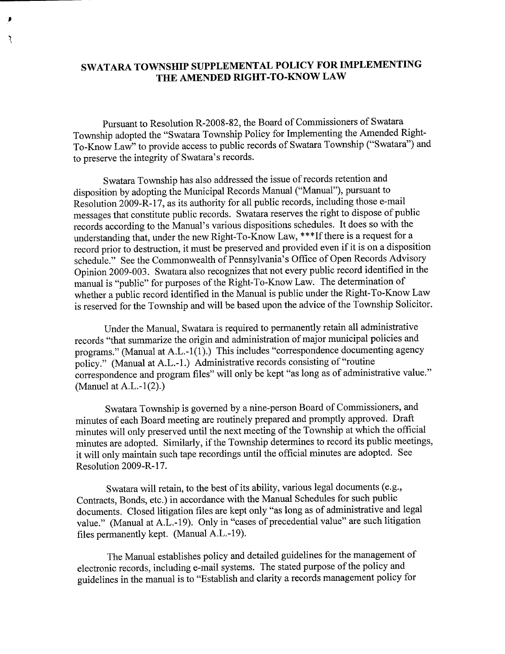## SWATARA TOWNSHIP SUPPLEMENTAL POLICY FOR IMPLEMENTING THE AMENDED RIGHT-TO-KNOW LAW

₹

Pursuant to Resolution R-2008-82, the Board of Commissioners of Swatara Township adopted the "Swatara Township Policy for Implementing the Amended Right-To-Know Law" to provide access to public records of Swatara Township ("Swatara") and to preserve the integrity of Swatara's records.

Swatara Township has also addressed the issue of records retention and disposition by adopting the Municipal Records Manual ("Manual"), pursuant to Resolution 2009-R-17, as its authority for all public records, including those e-mail messages that constitute public records. Swatara reserves the right to dispose of public records according to the Manual's various dispositions schedules. It does so with the understanding that, under the new Right-To-Know Law, \*\*\*If there is a request for a record prior to destruction, it must be preserved and provided even if it is on a disposition schedule." See the Commonwealth of Pennsylvania's Office of Open Records Advisory Opinion 2009-003. Swatara also recognizes that not every public record identified in the manual is "public" for purposes of the Right-To-Know Law. The determination of whether a public record identified in the Manual is public under the Right-To-Know Law is reserved for the Township and will be based upon the advice of the Township Solicitor.

Under the Manual, Swatara is required to permanently retain all administrative records "that summarize the origin and administration of major municipal policies and programs." (Manual at A.L.-1(1).) This includes "correspondence documenting agency policy." (Manual at A.L.-1.) Administrative records consisting of "routine" correspondence and program files" will only be kept "as long as of administrative value." (Manuel at A.L.- $1(2)$ .)

Swatara Township is governed by a nine-person Board of Commissioners, and minutes of each Board meeting are routinely prepared and promptly approved. Draft minutes will only preserved until the next meeting of the Township at which the official minutes are adopted. Similarly, if the Township determines to record its public meetings, it will only maintain such tape recordings until the official minutes are adopted. See Resolution 2009-R-17.

Swatara will retain, to the best of its ability, various legal documents (e.g. Contracts, Bonds, etc.) in accordance with the Manual Schedules for such public documents. Closed litigation files are kept only "as long as of administrative and legal value." (Manual at A.L.-19). Only in "cases of precedential value" are such litigation files permanently kept. (Manual A.L.-19).

The Manual establishes policy and detailed guidelines for the management of electronic records, including e-mail systems. The stated purpose of the policy and guidelines in the manual is to "Establish and clarity a records management policy for